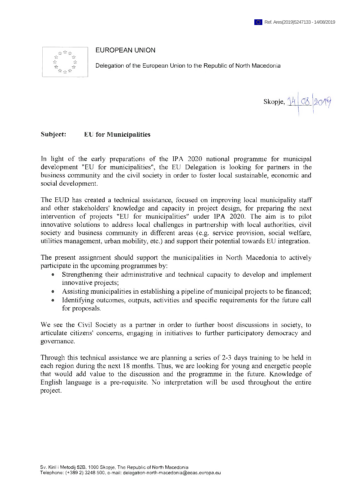## EUROPEAN UNION



Delegation of the European Union to the Republic of North Macedonia

Skopje, **<Ä**

## Subject: EU for Municipalities

In light of the early preparations of the IPA 2020 national programme for municipal development "EU for municipalities", the EU Delegation is looking for partners in the business community and the civil society in order to foster local sustainable, economic and social development.

The EUD has created a technical assistance, focused on improving local municipality staff and other stakeholders' knowledge and capacity in project design, for preparing the next intervention of projects "EU for municipalities" under IPA 2020. The aim is to pilot innovative solutions to address local challenges in partnership with local authorities, civil society and business community in different areas (e.g. service provision, social welfare, utilities management, urban mobility, etc.) and support their potential towards EU integration.

The present assignment should support the municipalities in North Macedonia to actively participate in the upcoming programmes by:

- Strengthening their administrative and technical capacity to develop and implement innovative projects;
- Assisting municipalities in establishing a pipeline of municipal projects to be financed;
- ® Identifying outcomes, outputs, activities and specific requirements for the future call for proposals.

We see the Civil Society as a partner in order to further boost discussions in society, to articulate citizens' concerns, engaging in initiatives to further participatory democracy and governance.

Through this technical assistance we are planning a series of 2-3 days training to be held in each region during the next 18 months. Thus, we are looking for young and energetic people that would add value to the discussion and the programme in the future. Knowledge of English language is a pre-requisite. No interpretation will be used throughout the entire project.